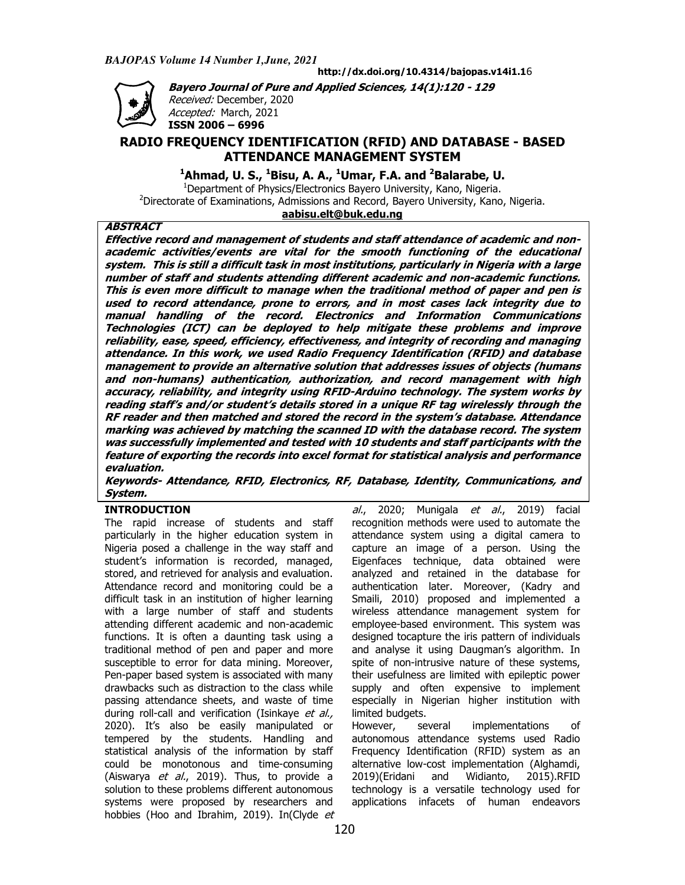Accepted: March, 2021



**http://dx.doi.org/10.4314/bajopas.v14i1.1** 6

**Bayero Journal of Pure and Applied Sciences, Bayero Journal of Pure and Applied Sciences, 14(1):120 - 129**  *Received:* December, 2020

# **ISSN 2006 – 6996 RADIO FREQUENCY IDENTIFICATION IDENTIFICATION (RFID) AND DATABASE ) - BASED ATTENDANCE MANAGEMENT SYSTEM ATTENDANCE**

**<sup>1</sup>Ahmad, U. S., <sup>1</sup> Bisu, A. A., <sup>1</sup>Umar, F.A. and <sup>2</sup>Balarabe, U.**

 $1$ Department of Physics/Electronics Bayero University, Kano, Nigeria. <sup>2</sup>Directorate of Examinations, Admissions and Record, Bayero University, Kano, Nigeria. **aabisu.elt@buk.edu.ng**

# **ABSTRACT**

**Effective record and management of students and staff attendance of academic Effective record and management of students and staff attendance of academic and nonacademic activities/events are vital for the smooth functioning of the educational system. This is still a difficult task in most institutions, particularly in Nigeria with a large number of staff and students attending different academic and non This is even more difficult to manage when the traditional method of paper and pen is used to record attendance, prone to errors, and in most cases lack integrity due to manual handling of the record. Electronics and Information Communi Technologies (ICT) can be deployed to help mitigate these problems and improve reliability, ease, speed, efficiency, effectiveness, and integrity of recording and managing attendance. In this work, we used Radio Frequency Identification (RFID) and management to provide an alternative solution that addresses issues of objects (humans and non-humans) authentication, authorization, and record management with high accuracy, reliability, and integrity using RFID reading staff's and/or student's details stored in a unique RF tag reading staff's and/or student's details stored in a unique RF tag wirelessly through the RF reader and then matched and stored the record in the system's database. Attendance marking was achieved by matching the scanned ID with the database record. was successfully implemented and feature of exporting the records into excel format for statistical analysis and performance evaluation.**  feature of exporting the records into excel format for statistical analysis and performance<br>evaluation.<br>Keywords- Attendance, RFID, Electronics, RF, Database, Identity, Communications, and Effective record and management of students and staff attendance of academic and non-<br>academic activities/events are vital for the smooth functioning of the educational<br>system. This is still a difficult task in This is even more difficult to manage when the traditional method of paper and pen is<br>used to record attendance, prone to errors, and in most cases lack integrity due to<br>manual handling of the record. Electronics and Infor RF reader and then matched and stored the record in the system's database. Attendance<br>marking was achieved by matching the scanned ID with the database record. The system<br>was successfully implemented and tested with 10 stu academic activities/events are vital for the smooth functioning of the educational<br>system. This is still a difficult task in most institutions, particularly in Nigeria with a large<br>number of staff and students attending di Technologies (ICT) can be deployed to help mitigate these problems and improve<br>reliability, ease, speed, efficiency, effectiveness, and integrity of recording and managing<br>attendance. In this work, we used Radio Frequency management to provide an alternative solution that addresses issues of objects (humans<br>and non-humans) authentication, authorization, and record management with high<br>accuracy, reliability, and integrity using RFIDreading staff's and/or student's details stored in a unique RF tag wirelessly through the<br>RF reader and then matched and stored the record in the system's database. Attendance<br>marking was achieved by matching the scanned I was successfully implemented and tested with 10 students and staff participants with the<br>feature of exporting the records into excel format for statistical analysis and performance<br>evaluation.<br>Keywords- Attendance, RFID, E

**System.** 

# **INTRODUCTION**

The rapid increase of students and staff particularly in the higher education system in Nigeria posed a challenge in the way staff and student's information is recorded, managed, stored, and retrieved for analysis and evaluation. Attendance record and monitoring could be a difficult task in an institution of higher learning with a large number of staff and students attending different academic and non-academic functions. It is often a daunting task using a traditional method of pen and paper and more susceptible to error for data mining. Moreover, Pen-paper based system is associated with many drawbacks such as distraction to the class while passing attendance sheets, and waste of time during roll-call and verification (Isinkaye et al., 2020). It's also be easily manipulated or 2020). It's also be easily manipulated or<br>tempered by the students. Handling and statistical analysis of the information by staff could be monotonous and time-consuming (Aiswarya *et al.*, 2019). Thus, to provide a solution to these problems different autonomous systems were proposed by researchers and solution to these problems different autonomous<br>systems were proposed by researchers and<br>hobbies (Hoo and Ibrahim, 2019). In(Clyde *et* challenge in the way staff and<br>ation is recorded, managed,<br>ved for analysis and evaluation.<br>rd and monitoring could be a<br>in institution of higher learning<br>umber of staff and students<br>nt academic and non-academic . It is often a daunting task using a<br>Il method of pen and paper and more<br>Ile to error for data mining. Moreover,

*al.*, 2020; Munigala *et al.*, 2019) facial recognition methods were used to automate the attendance system using a digital camera to capture an image of a person. Using the Eigenfaces technique, data obtained were analyzed and retained in the database for authentication later. Moreover, (Kadry and Smaili, 2010) proposed and implemented a wireless attendance management system for employee-based environment. Th . This system was designed tocapture the iris pattern of individuals and analyse it using Daugman's algorithm. In spite of non-intrusive nature of these systems, their usefulness are limited with epileptic power supply and often expensive to implement especially in Nigerian higher institution with limited budgets. their usefulness are limited with epileptic power<br>supply and often expensive to implement<br>especially in Nigerian higher institution with<br>limited budgets.<br>However, several implementations of

However, several implementations autonomous attendance systems s used Radio Frequency Identification (RFID) system as an alternative low-cost implementation cost implementation (Alghamdi, 2019)(Eridani and Widianto, technology is a versatile technology used for applications infacets of human endeavors 2015).RFID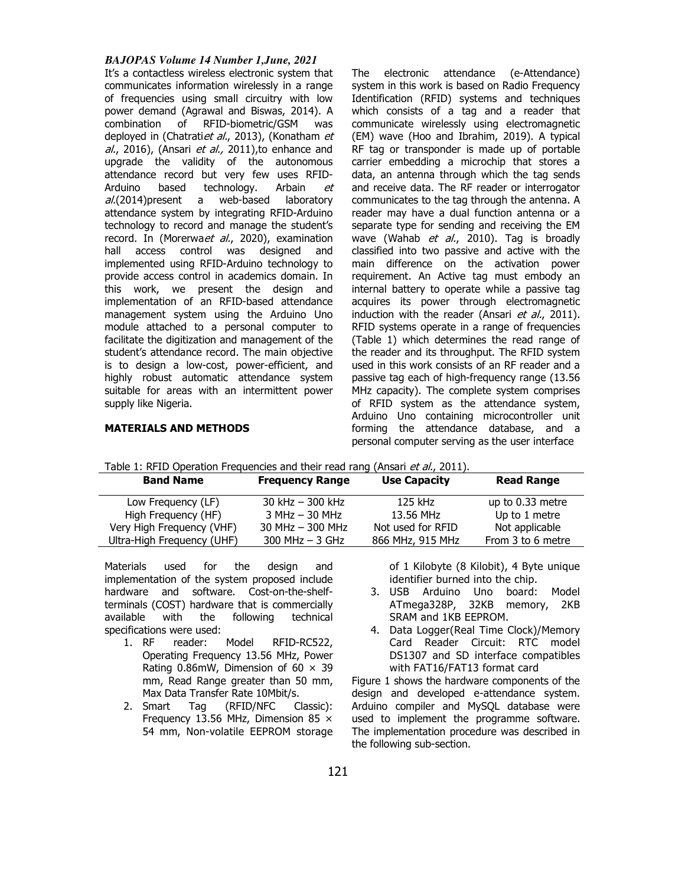### *BAJOPAS Volume 14 Number 1,June, 2021*

It's a contactless wireless electronic system that communicates information wirelessly in a range of frequencies using small circuitry with low power demand (Agrawal and Biswas, 2014). A combination of RFID-biometric/GSM was deployed in (Chatratiet al., 2013), (Konatham et al., 2016), (Ansari et al., 2011), to enhance and upgrade the validity of the autonomous attendance record but very few uses RFID-Arduino based technology. Arbain et  $al(2014)$ present a web-based laboratory attendance system by integrating RFID-Arduino technology to record and manage the student's record. In (Morerwaet al., 2020), examination hall access control was designed and implemented using RFID-Arduino technology to provide access control in academics domain. In this work, we present the design and implementation of an RFID-based attendance management system using the Arduino Uno module attached to a personal computer to facilitate the digitization and management of the student's attendance record. The main objective is to design a low-cost, power-efficient, and highly robust automatic attendance system suitable for areas with an intermittent power supply like Nigeria.

The electronic attendance (e-Attendance) system in this work is based on Radio Frequency Identification (RFID) systems and techniques which consists of a tag and a reader that communicate wirelessly using electromagnetic (EM) wave (Hoo and Ibrahim, 2019). A typical RF tag or transponder is made up of portable carrier embedding a microchip that stores a data, an antenna through which the tag sends and receive data. The RF reader or interrogator communicates to the tag through the antenna. A reader may have a dual function antenna or a separate type for sending and receiving the EM wave (Wahab et al., 2010). Tag is broadly classified into two passive and active with the main difference on the activation power requirement. An Active tag must embody an internal battery to operate while a passive tag acquires its power through electromagnetic induction with the reader (Ansari et al., 2011). RFID systems operate in a range of frequencies (Table 1) which determines the read range of the reader and its throughput. The RFID system used in this work consists of an RF reader and a passive tag each of high-frequency range (13.56 MHz capacity). The complete system comprises of RFID system as the attendance system, Arduino Uno containing microcontroller unit forming the attendance database, and a personal computer serving as the user interface

# **MATERIALS AND METHODS**

| Table 1: RFID Operation Frequencies and their read rang (Ansari <i>et al.</i> , 2011). |                        |                     |                   |
|----------------------------------------------------------------------------------------|------------------------|---------------------|-------------------|
| <b>Band Name</b>                                                                       | <b>Frequency Range</b> | <b>Use Capacity</b> | <b>Read Range</b> |
| Low Frequency (LF)                                                                     | 30 kHz $-$ 300 kHz     | 125 kHz             | up to 0.33 metre  |
| High Frequency (HF)                                                                    | $3 MHz - 30 MHz$       | 13.56 MHz           | Up to 1 metre     |
| Very High Frequency (VHF)                                                              | $30$ MHz $-$ 300 MHz   | Not used for RFID   | Not applicable    |
| Ultra-High Frequency (UHF)                                                             | $300$ MHz $-$ 3 GHz    | 866 MHz, 915 MHz    | From 3 to 6 metre |

Table 1: RFID Operation Frequencies and their read rang (Ansari et al., 2011).

Materials used for the design and implementation of the system proposed include hardware and software. Cost-on-the-shelfterminals (COST) hardware that is commercially available with the following technical specifications were used:

- 1. RF reader: Model RFID-RC522, Operating Frequency 13.56 MHz, Power Rating 0.86mW, Dimension of  $60 \times 39$ mm, Read Range greater than 50 mm, Max Data Transfer Rate 10Mbit/s.
- 2. Smart Tag (RFID/NFC Classic): Frequency 13.56 MHz, Dimension 85 × 54 mm, Non-volatile EEPROM storage

of 1 Kilobyte (8 Kilobit), 4 Byte unique identifier burned into the chip.

- 3. USB Arduino Uno board: Model ATmega328P, 32KB memory, 2KB SRAM and 1KB EEPROM.
- 4. Data Logger(Real Time Clock)/Memory Card Reader Circuit: RTC model DS1307 and SD interface compatibles with FAT16/FAT13 format card

Figure 1 shows the hardware components of the design and developed e-attendance system. Arduino compiler and MySQL database were used to implement the programme software. The implementation procedure was described in the following sub-section.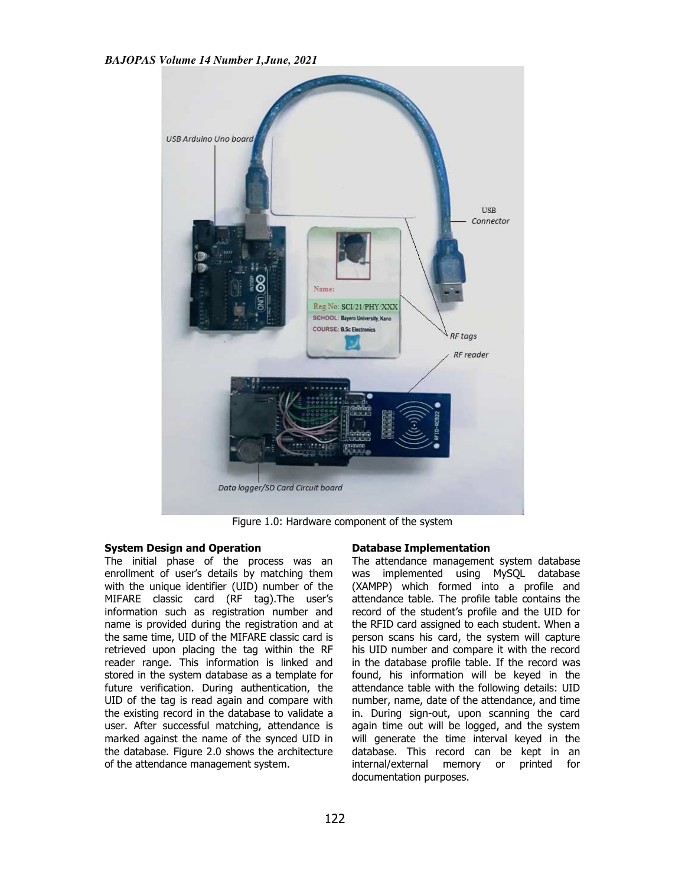

Figure 1 1.0: Hardware component of the system

# **System Design and Operation**

The initial phase of the process was an enrollment of user's details by matching them enrollment of user's details by matching them<br>with the unique identifier (UID) number of the MIFARE classic card (RF tag).The user's information such as registration number and name is provided during the registration and at the same time, UID of the MIFARE classic card is retrieved upon placing the tag within the RF reader range. This information is linked and stored in the system database as a template for future verification. During authentication, the UID of the tag is read again and compare with UID of the tag is read again and compare with<br>the existing record in the database to validate a user. After successful matching, attendance is marked against the name of the synced UID in the database. Figure 2.0 shows the architecture of the attendance management system g, atten<br>e synce<br>the arcl<br>system.

#### **Database Implementation**

The attendance management system database was implemented using MySQL database (XAMPP) which formed into a profile and attendance table. The profile table contains the record of the student's profile and the UID for the RFID card assigned to each student. person scans his card, the system will capture his UID number and compare it with the record in the database profile table. If the record was found, his information will be keyed in the attendance table with the following details: UID person scans his card, the system will capture<br>his UID number and compare it with the record<br>in the database profile table. If the record was<br>found, his information will be keyed in the<br>attendance table with the following in. During sign-out, upon scanning the card again time out will be logged, and the system will generate the time interval keyed in the database. This record can be kept in an internal/external memory or printed for documentation purposes. The attendance management system database was implemented using MySQL database (XAMPP) which formed into a profile and attendance table. The profile table contains the record of the student's profile and the UID for the RF in. During sign-out, upon scanning the card again time out will be logged, and the system will generate the time interval keyed in the database. This record can be kept in an internal/external memory or printed for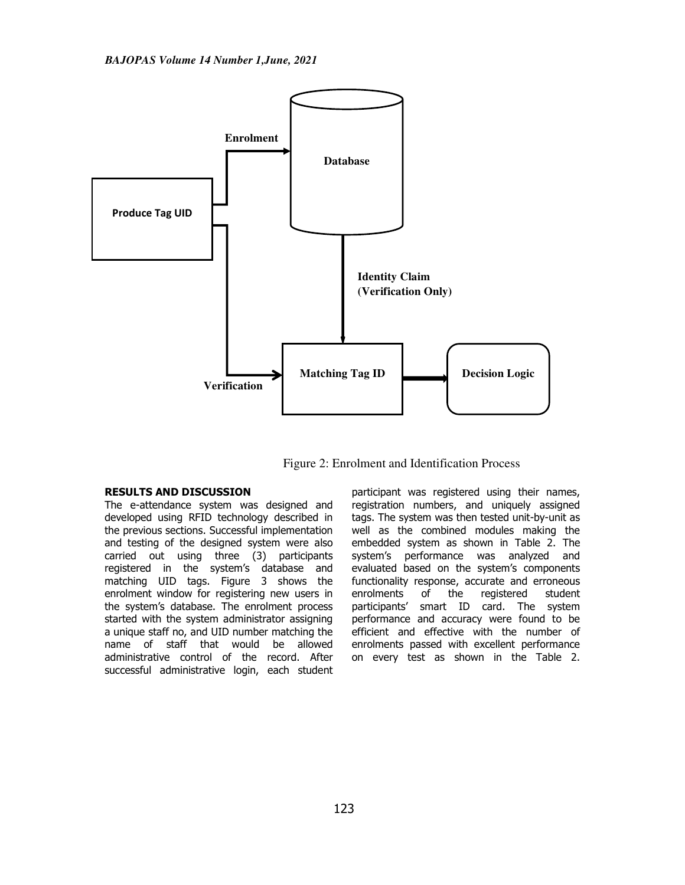

Figure 2: Enrolment and Identification Process

# **RESULTS AND DISCUSSION**

The e-attendance system was designed and developed using RFID technology described in the previous sections. Successful implementation and testing of the designed system were also carried out using three (3) participants registered in the system's database and matching UID tags. Figure 3 shows the enrolment window for registering new users in the system's database. The enrolment process started with the system administrator assigning a unique staff no, and UID number matching the name of staff that would be allowed administrative control of the record. After successful administrative login, each student participant was registered using their names, registration numbers, and uniquely assigned tags. The system was then tested unit-by-unit as well as the combined modules making the embedded system as shown in Table 2. The system's performance was analyzed and evaluated based on the system's components functionality response, accurate and erroneous enrolments of the registered student participants' smart ID card. The system performance and accuracy were found to be efficient and effective with the number of enrolments passed with excellent performance on every test as shown in the Table 2.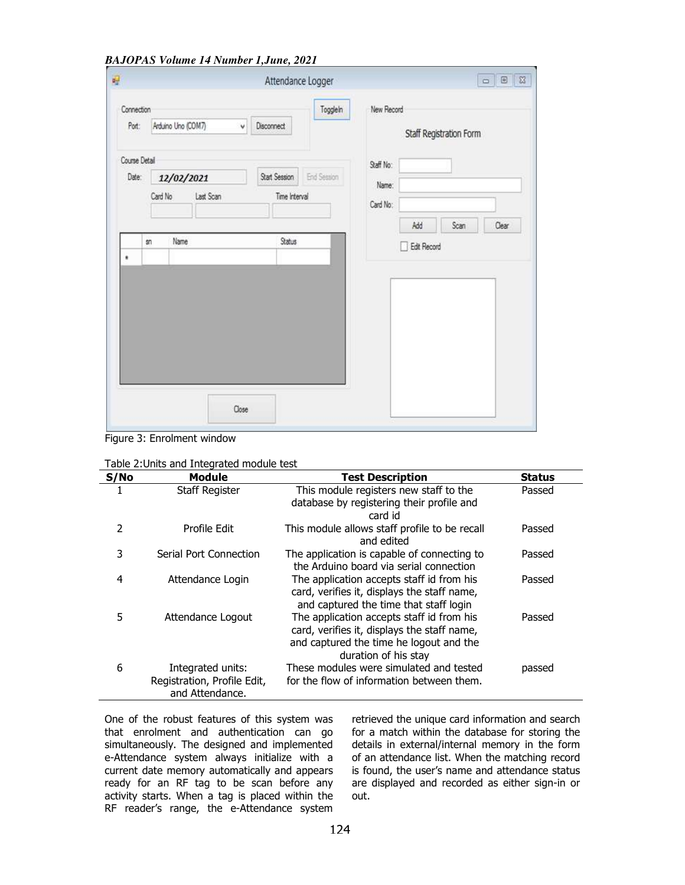*BAJOPAS Volume 14 Number 1,June, 2021*

| 吗                   |         |                    |       | Attendance Logger |                    |            |             |                         | $\Box$ $\Box$ |
|---------------------|---------|--------------------|-------|-------------------|--------------------|------------|-------------|-------------------------|---------------|
| Connection<br>Port: |         | Arduino Uno (COM7) | v     | <b>Disconnect</b> | Togglein           | New Record |             | Staff Registration Form |               |
| Course Detail       |         |                    |       |                   |                    | Staff No:  |             |                         |               |
| Date:               |         | 12/02/2021         |       | Start Session     | <b>End Session</b> | Name:      |             |                         |               |
|                     | Card No | Last Scan          |       | Time Interval     |                    | Card No:   |             |                         |               |
|                     |         |                    |       |                   |                    |            | Add         | Scan                    | Clear         |
|                     | sn      | Name               |       | Status            |                    |            | Edit Record |                         |               |
| ٠                   |         |                    |       |                   |                    |            |             |                         |               |
|                     |         |                    |       |                   |                    |            |             |                         |               |
|                     |         |                    |       |                   |                    |            |             |                         |               |
|                     |         |                    |       |                   |                    |            |             |                         |               |
|                     |         |                    |       |                   |                    |            |             |                         |               |
|                     |         |                    |       |                   |                    |            |             |                         |               |
|                     |         |                    |       |                   |                    |            |             |                         |               |
|                     |         |                    | Close |                   |                    |            |             |                         |               |

Figure 3: Enrolment window

| S/No           | <b>Module</b>                                                       | <b>Test Description</b>                                                                                                                                     | <b>Status</b> |
|----------------|---------------------------------------------------------------------|-------------------------------------------------------------------------------------------------------------------------------------------------------------|---------------|
|                | <b>Staff Register</b>                                               | This module registers new staff to the<br>database by registering their profile and<br>card id                                                              | Passed        |
| $\overline{2}$ | Profile Edit                                                        | This module allows staff profile to be recall<br>and edited                                                                                                 | Passed        |
| 3              | Serial Port Connection                                              | The application is capable of connecting to<br>the Arduino board via serial connection                                                                      | Passed        |
| 4              | Attendance Login                                                    | The application accepts staff id from his<br>card, verifies it, displays the staff name,<br>and captured the time that staff login                          | Passed        |
| 5              | Attendance Logout                                                   | The application accepts staff id from his<br>card, verifies it, displays the staff name,<br>and captured the time he logout and the<br>duration of his stay | Passed        |
| 6              | Integrated units:<br>Registration, Profile Edit,<br>and Attendance. | These modules were simulated and tested<br>for the flow of information between them.                                                                        | passed        |

One of the robust features of this system was that enrolment and authentication can go simultaneously. The designed and implemented e-Attendance system always initialize with a current date memory automatically and appears ready for an RF tag to be scan before any activity starts. When a tag is placed within the RF reader's range, the e-Attendance system

retrieved the unique card information and search for a match within the database for storing the details in external/internal memory in the form of an attendance list. When the matching record is found, the user's name and attendance status are displayed and recorded as either sign-in or out.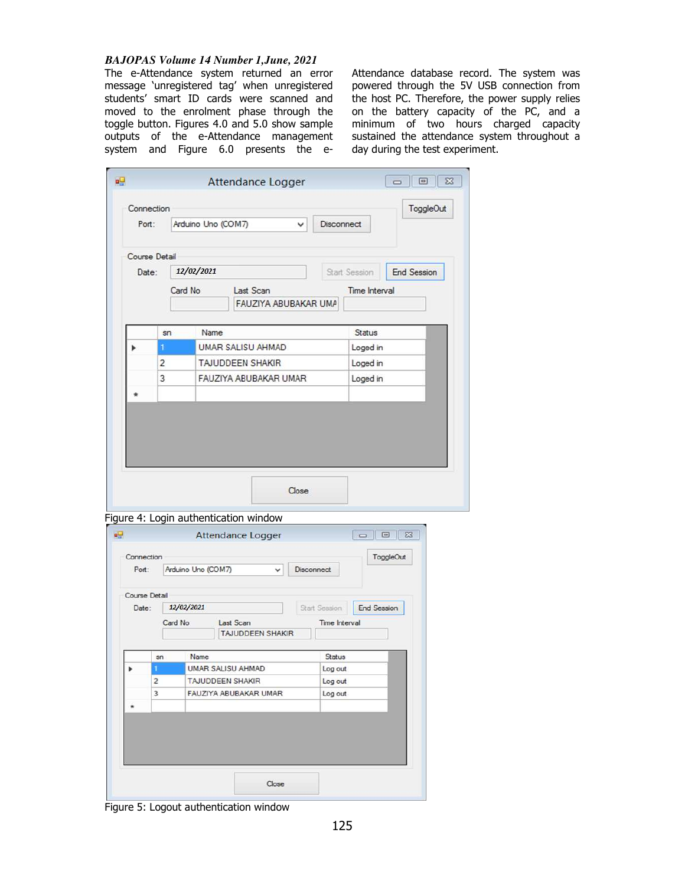# *BAJOPAS Volume 14 Number 1,June, 2021*

The e-Attendance system returned an error message 'unregistered tag' when unregistered students' smart ID cards were scanned and moved to the enrolment phase through the toggle button. Figures 4.0 and 5.0 show sample outputs of the e-Attendance management system and Figure 6.0 presents the e-

Attendance database record. The system was powered through the 5V USB connection from the host PC. Therefore, the power supply relies on the battery capacity of the PC, and a minimum of two hours charged capacity sustained the attendance system throughout a day during the test experiment.

|                             |                         | Attendance Logger                              |               |                      |                     |  |
|-----------------------------|-------------------------|------------------------------------------------|---------------|----------------------|---------------------|--|
|                             | Connection              |                                                |               |                      | <b>ToggleOut</b>    |  |
| Port:                       |                         | Arduino Uno (COM7)<br>v                        | Disconnect    |                      |                     |  |
|                             | Course Detail           |                                                |               |                      |                     |  |
| Date:                       |                         | 12/02/2021                                     |               | Start Session        | <b>End Session</b>  |  |
|                             | Card No                 | Last Scan<br>FAUZIYA ABUBAKAR UMA              |               | <b>Time Interval</b> |                     |  |
|                             | sn                      | Name                                           |               | Status               |                     |  |
|                             | т                       | UMAR SALISU AHMAD                              |               | Loged in             |                     |  |
|                             | $\overline{2}$          | TAJUDDEEN SHAKIR                               |               | Loged in<br>Loged in |                     |  |
|                             | 3                       | FAUZIYA ABUBAKAR UMAR                          |               |                      |                     |  |
|                             |                         |                                                |               |                      |                     |  |
|                             |                         | Close<br>Figure 4: Login authentication window |               |                      |                     |  |
|                             |                         | Attendance Logger                              |               | $\equiv$             | $\Box$<br>ToggleOut |  |
| Port:                       |                         | Arduino Uno (COM7)<br>v                        | Disconnect    |                      |                     |  |
|                             |                         |                                                |               |                      |                     |  |
| Date:                       | 12/02/2021              |                                                | Start Session | <b>End Session</b>   |                     |  |
|                             | Card No                 | Last Scan<br><b>TAJUDDEEN SHAKIR</b>           | Time Interval |                      |                     |  |
|                             | sn                      | Name                                           | Status        |                      |                     |  |
|                             | 1                       | UMAR SALISU AHMAD                              | Log out       |                      |                     |  |
|                             | $\overline{\mathbf{c}}$ | TAJUDDEEN SHAKIR                               | Log out       |                      |                     |  |
| Connection<br>Course Detail | 3                       | FAUZIYA ABUBAKAR UMAR                          | Log out       |                      |                     |  |
|                             |                         |                                                |               |                      |                     |  |
|                             |                         |                                                |               |                      |                     |  |

Figure 5: Logout authentication window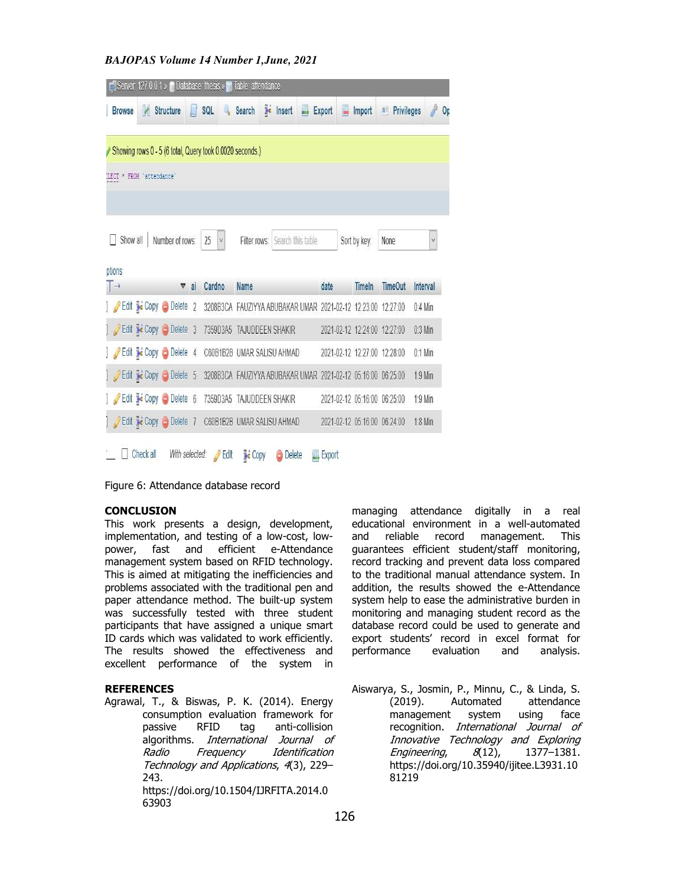*BAJOPAS Volume 14 Number 1,June, 2021*

|                                        | Server: 127.0.0.1 » in Database: thesis » E. Table: attendance |                |                    |                                                              |                   |   |                              |               |                          |           |
|----------------------------------------|----------------------------------------------------------------|----------------|--------------------|--------------------------------------------------------------|-------------------|---|------------------------------|---------------|--------------------------|-----------|
| <b>Browse</b>                          | <b>★</b> Structure                                             | П              | SQL                | H<br>Search                                                  | Insert            | 县 | Export<br>畐                  | Import        | <b>Privileges</b><br>ai. | P<br>Op   |
|                                        | Showing rows 0 - 5 (6 total, Query took 0.0020 seconds.)       |                |                    |                                                              |                   |   |                              |               |                          |           |
| LECT * FROM 'attendance'               |                                                                |                |                    |                                                              |                   |   |                              |               |                          |           |
|                                        |                                                                |                |                    |                                                              |                   |   |                              |               |                          |           |
|                                        |                                                                |                |                    |                                                              |                   |   |                              |               |                          |           |
| Show all                               | Number of rows:                                                |                | 25<br>$\vee$       | Filter rows:                                                 | Search this table |   |                              | Sort by key:  | None                     | V         |
| ptions                                 |                                                                |                |                    |                                                              |                   |   |                              |               |                          |           |
| $\overline{\phantom{a}}$ $\rightarrow$ | $\boldsymbol{\triangledown}$                                   | ai             | Cardno             | <b>Name</b>                                                  |                   |   | date                         | <b>Timeln</b> | <b>TimeOut</b>           | Interval  |
|                                        | Edit <b>3</b> Copy O Delete                                    | $\overline{2}$ |                    | 3208B3CA FAUZIYYA ABUBAKAR UMAR 2021-02-12 12:23:00 12:27:00 |                   |   |                              |               |                          | $0:4$ Min |
|                                        | Edit 3: Copy O Delete 3                                        |                | 7359D3A5           | TAJUDDEEN SHAKIR                                             |                   |   | 2021-02-12 12:24:00 12:27:00 |               |                          | $0:3$ Min |
|                                        | Edit 3-c Copy O Delete 4                                       |                |                    | C60B1B2B UMAR SALISU AHMAD                                   |                   |   | 2021-02-12 12:27:00 12:28:00 |               |                          | $0:1$ Min |
|                                        | Edit Ti Copy Delete 5                                          |                |                    | 3208B3CA FAUZIYYA ABUBAKAR UMAR 2021-02-12 05:16:00 06:25:00 |                   |   |                              |               |                          | $1:9$ Min |
|                                        | Edit : Copy Delete 6                                           |                | 7359D3A5           | TAJUDDEEN SHAKIR                                             |                   |   | 2021-02-12 05:16:00 06:25:00 |               |                          | 1:9 Min   |
|                                        | Edit 3 Copy O Delete 7                                         |                |                    | C60B1B2B UMAR SALISU AHMAD                                   |                   |   | 2021-02-12 05:16:00 06:24:00 |               |                          | 1:8 Min   |
| Check all                              | With selected:                                                 |                | $\mathscr{P}$ Edit | <b>Copy</b>                                                  | Delete            |   | $\Box$ Export                |               |                          |           |

Figure 6: Attendance database record

## **CONCLUSION**

This work presents a design, development, implementation, and testing of a low-cost, lowpower, fast and efficient e-Attendance management system based on RFID technology. This is aimed at mitigating the inefficiencies and problems associated with the traditional pen and paper attendance method. The built-up system was successfully tested with three student participants that have assigned a unique smart ID cards which was validated to work efficiently. The results showed the effectiveness and excellent performance of the system in

# **REFERENCES**

Agrawal, T., & Biswas, P. K. (2014). Energy consumption evaluation framework for passive RFID tag anti-collision algorithms. International Journal of Radio Frequency Identification Technology and Applications, 4(3), 229– 243. https://doi.org/10.1504/IJRFITA.2014.0 63903

managing attendance digitally in a real educational environment in a well-automated and reliable record management. This guarantees efficient student/staff monitoring, record tracking and prevent data loss compared to the traditional manual attendance system. In addition, the results showed the e-Attendance system help to ease the administrative burden in monitoring and managing student record as the database record could be used to generate and export students' record in excel format for performance evaluation and analysis.

Aiswarya, S., Josmin, P., Minnu, C., & Linda, S. (2019). Automated attendance<br>management system using face management system using face recognition. International Journal of Innovative Technology and Exploring Engineering, 8(12), 1377–1381. https://doi.org/10.35940/ijitee.L3931.10 81219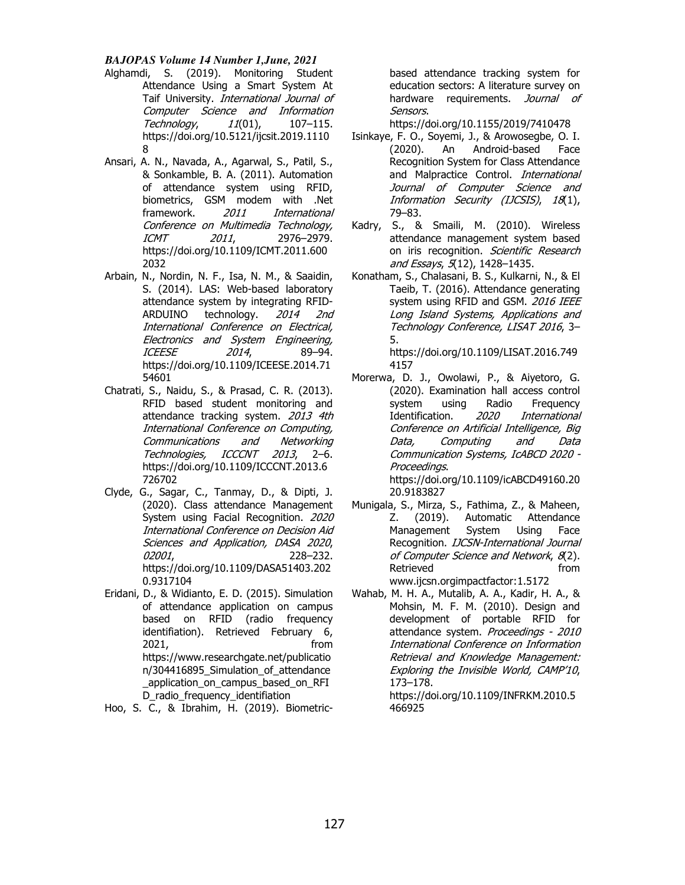# *BAJOPAS Volume 14 Number 1,June, 2021*

- Alghamdi, S. (2019). Monitoring Student Attendance Using a Smart System At Taif University. International Journal of Computer Science and Information Technology,  $11(01)$ , 107-115. https://doi.org/10.5121/ijcsit.2019.1110 8
- Ansari, A. N., Navada, A., Agarwal, S., Patil, S., & Sonkamble, B. A. (2011). Automation of attendance system using RFID, biometrics, GSM modem with .Net framework. 2011 International Conference on Multimedia Technology, ICMT 2011, 2976–2979. https://doi.org/10.1109/ICMT.2011.600 2032
- Arbain, N., Nordin, N. F., Isa, N. M., & Saaidin, S. (2014). LAS: Web-based laboratory attendance system by integrating RFID-ARDUINO technology. 2014 2nd International Conference on Electrical, Electronics and System Engineering, ICEESE 2014, 89–94. https://doi.org/10.1109/ICEESE.2014.71 54601
- Chatrati, S., Naidu, S., & Prasad, C. R. (2013). RFID based student monitoring and attendance tracking system. 2013 4th International Conference on Computing, Communications and Networking Technologies, ICCCNT 2013, 2–6. https://doi.org/10.1109/ICCCNT.2013.6 726702
- Clyde, G., Sagar, C., Tanmay, D., & Dipti, J. (2020). Class attendance Management System using Facial Recognition. 2020 International Conference on Decision Aid Sciences and Application, DASA 2020, 02001, 228–232. https://doi.org/10.1109/DASA51403.202 0.9317104
- Eridani, D., & Widianto, E. D. (2015). Simulation of attendance application on campus based on RFID (radio frequency identifiation). Retrieved February 6, 2021, from https://www.researchgate.net/publicatio n/304416895\_Simulation\_of\_attendance \_application\_on\_campus\_based\_on\_RFI D\_radio\_frequency\_identifiation

Hoo, S. C., & Ibrahim, H. (2019). Biometric-

based attendance tracking system for education sectors: A literature survey on hardware requirements. Journal of Sensors.

https://doi.org/10.1155/2019/7410478

- Isinkaye, F. O., Soyemi, J., & Arowosegbe, O. I. (2020). An Android-based Face Recognition System for Class Attendance and Malpractice Control. International Journal of Computer Science and Information Security (IJCSIS), 18(1), 79–83.
- Kadry, S., & Smaili, M. (2010). Wireless attendance management system based on iris recognition. Scientific Research and Essays, 5(12), 1428-1435.
- Konatham, S., Chalasani, B. S., Kulkarni, N., & El Taeib, T. (2016). Attendance generating system using RFID and GSM. 2016 IEEE Long Island Systems, Applications and Technology Conference, LISAT 2016, 3– 5.

https://doi.org/10.1109/LISAT.2016.749 4157

- Morerwa, D. J., Owolawi, P., & Aiyetoro, G. (2020). Examination hall access control system using Radio Frequency Identification. 2020 International Conference on Artificial Intelligence, Big Data, Computing and Data Communication Systems, IcABCD 2020 - Proceedings. https://doi.org/10.1109/icABCD49160.20 20.9183827
- Munigala, S., Mirza, S., Fathima, Z., & Maheen, Z. (2019). Automatic Attendance Management System Using Face Recognition. IJCSN-International Journal of Computer Science and Network, 8(2). Retrieved from from www.ijcsn.orgimpactfactor:1.5172
- Wahab, M. H. A., Mutalib, A. A., Kadir, H. A., & Mohsin, M. F. M. (2010). Design and development of portable RFID for attendance system. Proceedings - 2010 International Conference on Information Retrieval and Knowledge Management: Exploring the Invisible World, CAMP'10, 173–178. https://doi.org/10.1109/INFRKM.2010.5 466925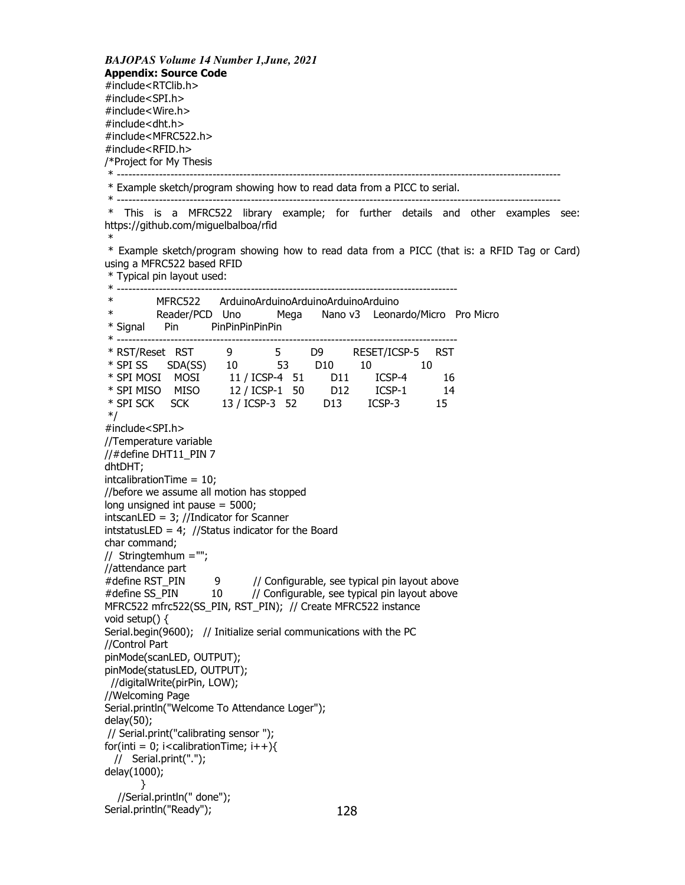*BAJOPAS Volume 14 Number 1,June, 2021* **Appendix: Source Code**  #include<RTClib.h> #include<SPI.h> #include<Wire.h> #include<dht.h> #include<MFRC522.h> #include<RFID.h> /\*Project for My Thesis \* -------------------------------------------------------------------------------------------------------------------- \* Example sketch/program showing how to read data from a PICC to serial. \* -------------------------------------------------------------------------------------------------------------------- \* This is a MFRC522 library example; for further details and other examples see: https://github.com/miguelbalboa/rfid \* \* Example sketch/program showing how to read data from a PICC (that is: a RFID Tag or Card) using a MFRC522 based RFID \* Typical pin layout used: \* ----------------------------------------------------------------------------------------- \* MFRC522 ArduinoArduinoArduinoArduinoArduino Reader/PCD Uno Mega Nano v3 Leonardo/Micro Pro Micro \* Signal Pin PinPinPinPinPin \* ----------------------------------------------------------------------------------------- \* RST/Reset RST 9 5 D9 RESET/ICSP-5 RST \* SPI SS SDA(SS) 10 53 D10 10 10 \* SPI MOSI MOSI 11 / ICSP-4 51 D11 ICSP-4 16 \* SPI MISO MISO 12 / ICSP-1 50 D12 ICSP-1 14 \* SPI SCK SCK 13 / ICSP-3 52 D13 ICSP-3 15 \*/ #include<SPI.h> //Temperature variable //#define DHT11\_PIN 7 dhtDHT; intcalibrationTime = 10; //before we assume all motion has stopped long unsigned int pause = 5000; intscanLED = 3; //Indicator for Scanner intstatusLED = 4; //Status indicator for the Board char command; // Stringtemhum =""; //attendance part #define RST\_PIN 9 // Configurable, see typical pin layout above #define SS\_PIN 10 // Configurable, see typical pin layout above MFRC522 mfrc522(SS\_PIN, RST\_PIN); // Create MFRC522 instance void setup() { Serial.begin(9600); // Initialize serial communications with the PC //Control Part pinMode(scanLED, OUTPUT); pinMode(statusLED, OUTPUT); //digitalWrite(pirPin, LOW); //Welcoming Page Serial.println("Welcome To Attendance Loger"); delay(50); // Serial.print("calibrating sensor "); for(inti = 0; i<calibrationTime;  $i++$ ){ // Serial.print("."); delay(1000); } //Serial.println(" done"); Serial.println("Ready"); 128